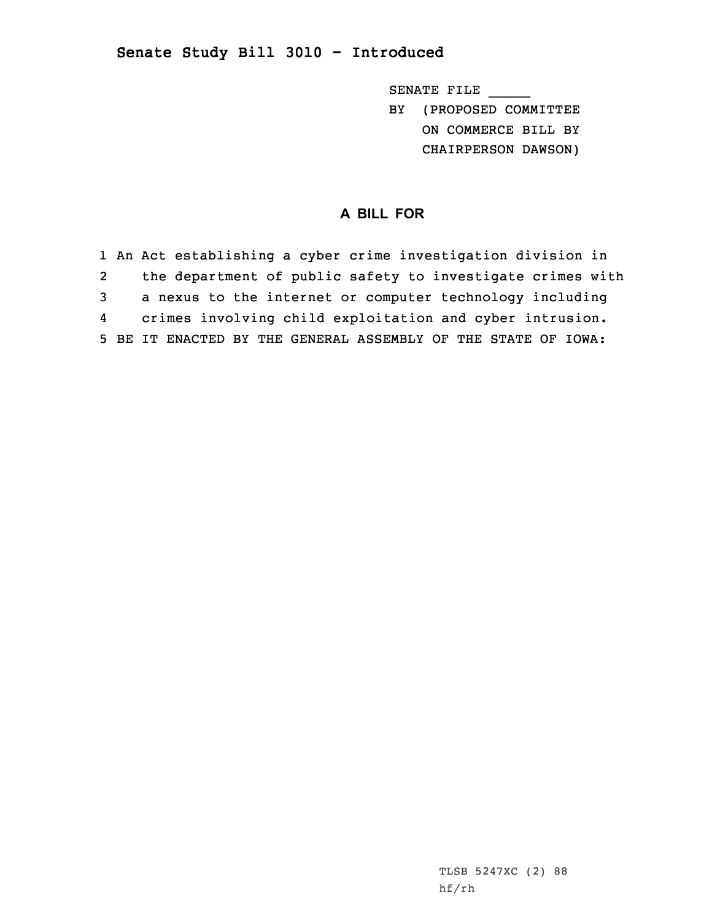## **Senate Study Bill 3010 - Introduced**

SENATE FILE \_\_\_\_\_ BY (PROPOSED COMMITTEE ON COMMERCE BILL BY CHAIRPERSON DAWSON)

## **A BILL FOR**

 An Act establishing <sup>a</sup> cyber crime investigation division in the department of public safety to investigate crimes with <sup>a</sup> nexus to the internet or computer technology including 4 crimes involving child exploitation and cyber intrusion. BE IT ENACTED BY THE GENERAL ASSEMBLY OF THE STATE OF IOWA: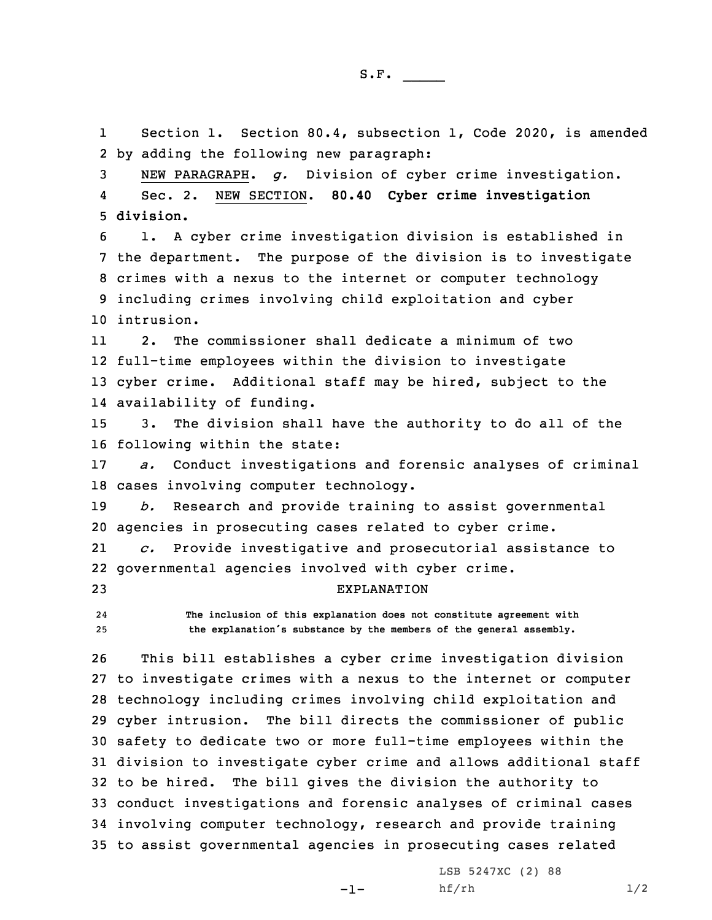1 Section 1. Section 80.4, subsection 1, Code 2020, is amended 2 by adding the following new paragraph:

3 NEW PARAGRAPH. *g.* Division of cyber crime investigation. 4 Sec. 2. NEW SECTION. **80.40 Cyber crime investigation** 5 **division.**

 1. <sup>A</sup> cyber crime investigation division is established in the department. The purpose of the division is to investigate crimes with <sup>a</sup> nexus to the internet or computer technology including crimes involving child exploitation and cyber intrusion.

11 2. The commissioner shall dedicate <sup>a</sup> minimum of two 12 full-time employees within the division to investigate 13 cyber crime. Additional staff may be hired, subject to the 14 availability of funding.

15 3. The division shall have the authority to do all of the 16 following within the state:

17 *a.* Conduct investigations and forensic analyses of criminal 18 cases involving computer technology.

19 *b.* Research and provide training to assist governmental 20 agencies in prosecuting cases related to cyber crime.

21 *c.* Provide investigative and prosecutorial assistance to 22 governmental agencies involved with cyber crime.

23 EXPLANATION

24 **The inclusion of this explanation does not constitute agreement with** <sup>25</sup> **the explanation's substance by the members of the general assembly.**

 This bill establishes <sup>a</sup> cyber crime investigation division to investigate crimes with <sup>a</sup> nexus to the internet or computer technology including crimes involving child exploitation and cyber intrusion. The bill directs the commissioner of public safety to dedicate two or more full-time employees within the division to investigate cyber crime and allows additional staff to be hired. The bill gives the division the authority to conduct investigations and forensic analyses of criminal cases involving computer technology, research and provide training to assist governmental agencies in prosecuting cases related

-1-

LSB 5247XC (2) 88  $h f / rh$  1/2